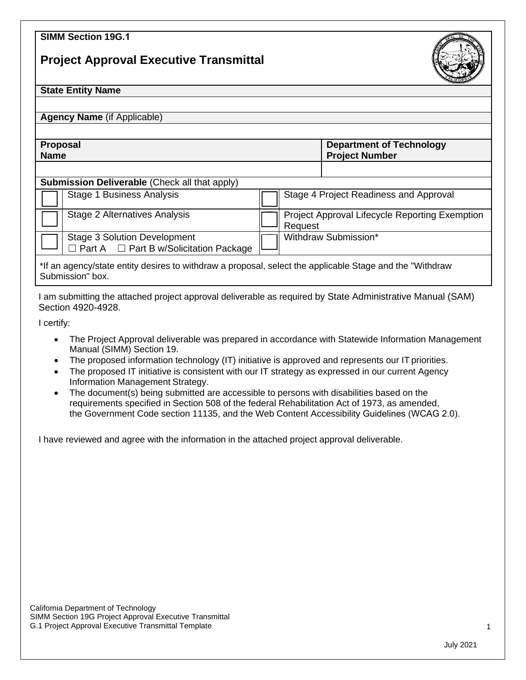## **SIMM Section 19G.1**

## **Project Approval Executive Transmittal**



## **State Entity Name**

**Agency Name** (if Applicable)

**Proposal Name**

**Department of Technology Project Number**

## **Submission Deliverable** *(Check all that apply)*

| $\bullet$ are integrate to $\bullet$ and $\bullet$ is a set of $\bullet$ . The contract the set of $\bullet$ |                                                                                           |  |                                                           |  |
|--------------------------------------------------------------------------------------------------------------|-------------------------------------------------------------------------------------------|--|-----------------------------------------------------------|--|
|                                                                                                              | <b>Stage 1 Business Analysis</b>                                                          |  | Stage 4 Project Readiness and Approval                    |  |
|                                                                                                              | Stage 2 Alternatives Analysis                                                             |  | Project Approval Lifecycle Reporting Exemption<br>Request |  |
|                                                                                                              | <b>Stage 3 Solution Development</b><br>$\Box$ Part A $\Box$ Part B w/Solicitation Package |  | Withdraw Submission*                                      |  |
|                                                                                                              |                                                                                           |  |                                                           |  |

\*If an agency/state entity desires to withdraw a proposal, select the applicable Stage and the "Withdraw Submission" box.

I am submitting the attached project approval deliverable as required by State Administrative Manual (SAM) Section 4920-4928.

I certify:

- The Project Approval deliverable was prepared in accordance with Statewide Information Management Manual (SIMM) Section 19.
- The proposed information technology (IT) initiative is approved and represents our IT priorities.
- The proposed IT initiative is consistent with our IT strategy as expressed in our current Agency Information Management Strategy.
- The document(s) being submitted are accessible to persons with disabilities based on the requirements specified in Section 508 of the federal Rehabilitation Act of 1973, as amended, the Government Code section 11135, and the Web Content Accessibility Guidelines (WCAG 2.0).

I have reviewed and agree with the information in the attached project approval deliverable.

California Department of Technology SIMM Section 19G Project Approval Executive Transmittal G.1 Project Approval Executive Transmittal Template